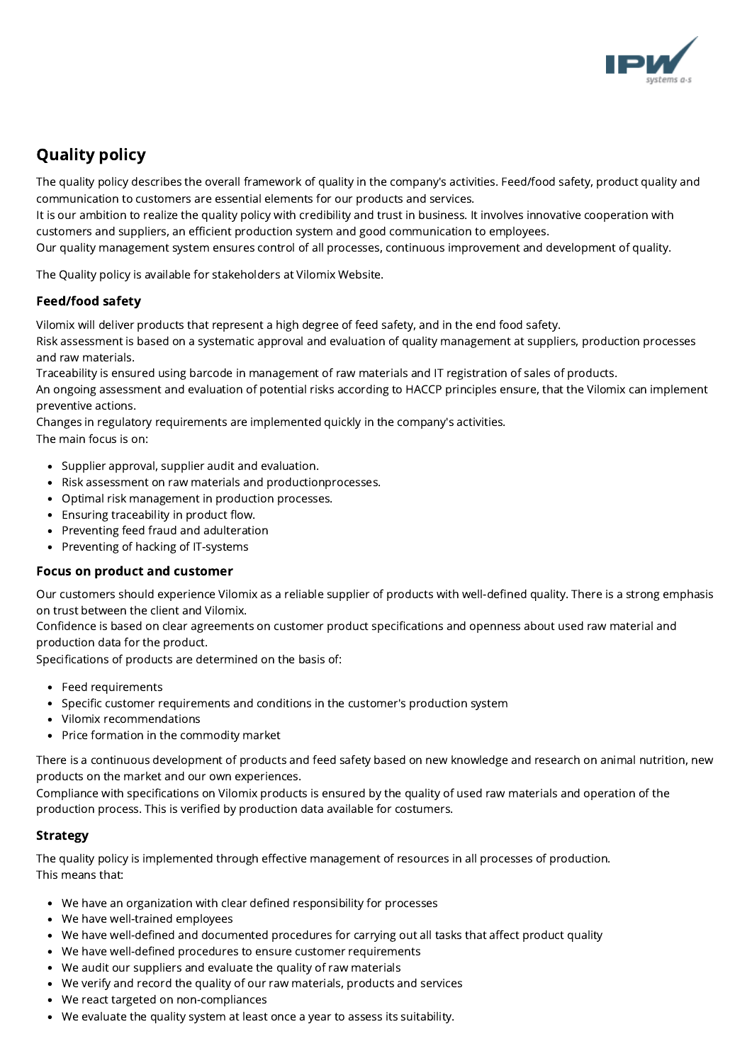

# Quality policy

The quality policy describes the overall framework of quality in the company's activities. Feed/food safety, product quality and communication to customers are essential elements for our products and services.

It is our ambition to realize the quality policy with credibility and trust in business. It involves innovative cooperation with customers and suppliers, an efficient production system and good communication to employees.

Our quality management system ensures control of all processes, continuous improvement and development of quality.

The Quality policy is available for stakeholders at Vilomix Website.

### Feed/food safety

Vilomix will deliver products that represent a high degree of feed safety, and in the end food safety.

Risk assessment is based on a systematic approval and evaluation of quality management at suppliers, production processes and raw materials.

Traceability is ensured using barcode in management of raw materials and IT registration of sales of products.

An ongoing assessment and evaluation of potential risks according to HACCP principles ensure, that the Vilomix can implement preventive actions.

Changes in regulatory requirements are implemented quickly in the company's activities.

The main focus is on:

- Supplier approval, supplier audit and evaluation.
- Risk assessment on raw materials and productionprocesses.
- Optimal risk management in production processes.
- Ensuring traceability in product flow.
- Preventing feed fraud and adulteration
- Preventing of hacking of IT-systems

#### Focus on product and customer

Our customers should experience Vilomix as a reliable supplier of products with well-defined quality. There is a strong emphasis on trust between the client and Vilomix.

Confidence is based on clear agreements on customer product specifications and openness about used raw material and production data for the product.

Specifications of products are determined on the basis of:

- Feed requirements
- Specific customer requirements and conditions in the customer's production system
- Vilomix recommendations
- Price formation in the commodity market

There is a continuous development of products and feed safety based on new knowledge and research on animal nutrition, new products on the market and our own experiences.

Compliance with specifications on Vilomix products is ensured by the quality of used raw materials and operation of the production process. This is verified by production data available for costumers.

#### Strategy

The quality policy is implemented through effective management of resources in all processes of production. This means that:

- We have an organization with clear defined responsibility for processes
- We have well-trained employees
- We have well-defined and documented procedures for carrying out all tasks that affect product quality
- We have well-defined procedures to ensure customer requirements
- We audit our suppliers and evaluate the quality of raw materials
- We verify and record the quality of our raw materials, products and services
- We react targeted on non-compliances
- We evaluate the quality system at least once a year to assess its suitability.